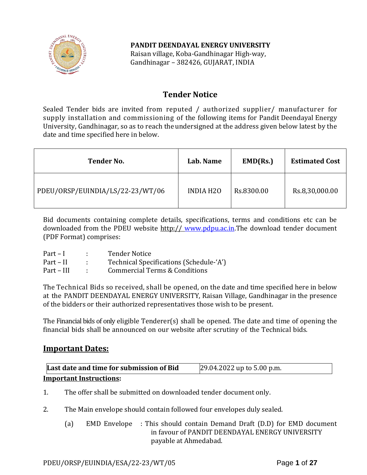

**PANDIT DEENDAYAL ENERGY UNIVERSITY**

Raisan village, Koba-Gandhinagar High-way, Gandhinagar – 382426, GUJARAT, INDIA

## **Tender Notice**

Sealed Tender bids are invited from reputed / authorized supplier/ manufacturer for supply installation and commissioning of the following items for Pandit Deendayal Energy University, Gandhinagar, so as to reach the undersigned at the address given below latest by the date and time specified here in below.

| <b>Tender No.</b>                | Lab. Name        | EMD(Rs.)   | <b>Estimated Cost</b> |
|----------------------------------|------------------|------------|-----------------------|
| PDEU/ORSP/EUINDIA/LS/22-23/WT/06 | <b>INDIA H2O</b> | Rs.8300.00 | Rs.8,30,000.00        |

Bid documents containing complete details, specifications, terms and conditions etc can be downloaded from the PDEU website http:// [www.pdpu.ac.in.](http://www.pdpu.ac.in/)The download tender document (PDF Format) comprises:

| $Part-I$    | <b>Tender Notice</b>                    |
|-------------|-----------------------------------------|
| $Part - II$ | Technical Specifications (Schedule-'A') |
| Part – III  | Commercial Terms & Conditions           |

The Technical Bids so received, shall be opened, on the date and time specified here in below at the PANDIT DEENDAYAL ENERGY UNIVERSITY, Raisan Village, Gandhinagar in the presence of the bidders or their authorized representatives those wish to be present.

The Financial bids of only eligible Tenderer(s) shall be opened. The date and time of opening the financial bids shall be announced on our website after scrutiny of the Technical bids.

## **Important Dates:**

| Last date and time for submission of Bid | 29.04.2022 up to 5.00 p.m. |  |
|------------------------------------------|----------------------------|--|
| <b>Important Instructions:</b>           |                            |  |

1. The offer shall be submitted on downloaded tender document only.

- 2. The Main envelope should contain followed four envelopes duly sealed.
	- (a) EMD Envelope : This should contain Demand Draft (D.D) for EMD document in favour of PANDIT DEENDAYAL ENERGY UNIVERSITY payable at Ahmedabad.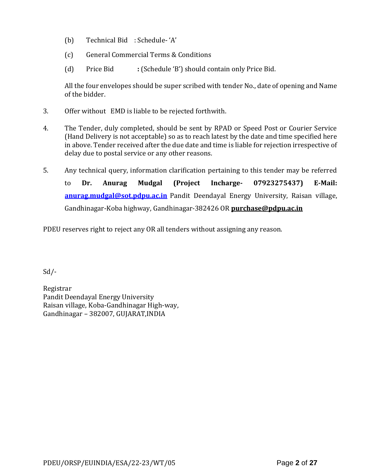- (b) Technical Bid : Schedule- 'A'
- (c) General Commercial Terms & Conditions
- (d) Price Bid **:** (Schedule 'B') should contain only Price Bid.

All the four envelopes should be super scribed with tender No., date of opening and Name of the bidder.

- 3. Offer without EMD is liable to be rejected forthwith.
- 4. The Tender, duly completed, should be sent by RPAD or Speed Post or Courier Service (Hand Delivery is not acceptable) so as to reach latest by the date and time specified here in above. Tender received after the due date and time is liable for rejection irrespective of delay due to postal service or any other reasons.
- 5. Any technical query, information clarification pertaining to this tender may be referred to **Dr. Anurag Mudgal (Project Incharge- 07923275437) E-Mail: [anurag.mudgal@sot.pdpu.ac.in](mailto:anurag.mudgal@sot.pdpu.ac.in)** Pandit Deendayal Energy University, Raisan village, Gandhinagar-Koba highway, Gandhinagar-382426 OR **purchase@pdpu.ac.in**

PDEU reserves right to reject any OR all tenders without assigning any reason.

Sd/-

Registrar Pandit Deendayal Energy University Raisan village, Koba-Gandhinagar High-way, Gandhinagar – 382007, GUJARAT,INDIA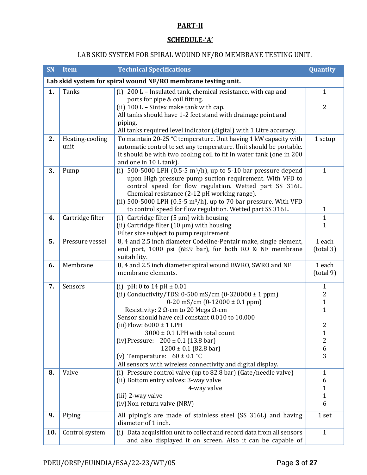## **PART-II**

## **SCHEDULE-'A'**

# LAB SKID SYSTEM FOR SPIRAL WOUND NF/RO MEMBRANE TESTING UNIT.

| <b>SN</b>                                                     | <b>Item</b>      | <b>Technical Specifications</b>                                                                                               | Quantity                    |
|---------------------------------------------------------------|------------------|-------------------------------------------------------------------------------------------------------------------------------|-----------------------------|
| Lab skid system for spiral wound NF/RO membrane testing unit. |                  |                                                                                                                               |                             |
| 1.                                                            | <b>Tanks</b>     | (i) 200 L - Insulated tank, chemical resistance, with cap and                                                                 | $\mathbf{1}$                |
|                                                               |                  | ports for pipe & coil fitting.                                                                                                |                             |
|                                                               |                  | (ii) 100 L - Sintex make tank with cap.                                                                                       | $\overline{2}$              |
|                                                               |                  | All tanks should have 1-2 feet stand with drainage point and                                                                  |                             |
|                                                               |                  | piping.<br>All tanks required level indicator (digital) with 1 Litre accuracy.                                                |                             |
| 2.                                                            | Heating-cooling  | To maintain 20-25 °C temperature. Unit having 1 kW capacity with                                                              | 1 setup                     |
|                                                               | unit             | automatic control to set any temperature. Unit should be portable.                                                            |                             |
|                                                               |                  | It should be with two cooling coil to fit in water tank (one in 200                                                           |                             |
|                                                               |                  | and one in 10 L tank).                                                                                                        |                             |
| 3.                                                            | Pump             | (i) 500-5000 LPH (0.5-5 $\text{m3/h}$ ), up to 5-10 bar pressure depend                                                       | $\mathbf{1}$                |
|                                                               |                  | upon High pressure pump suction requirement. With VFD to                                                                      |                             |
|                                                               |                  | control speed for flow regulation. Wetted part SS 316L.                                                                       |                             |
|                                                               |                  | Chemical resistance (2-12 pH working range).                                                                                  |                             |
|                                                               |                  | (ii) 500-5000 LPH (0.5-5 $m^3/h$ ), up to 70 bar pressure. With VFD                                                           |                             |
|                                                               |                  | to control speed for flow regulation. Wetted part SS 316L.                                                                    | $\mathbf{1}$                |
| 4.                                                            | Cartridge filter | Cartridge filter ( $5 \mu m$ ) with housing<br>(i)                                                                            | $\mathbf{1}$                |
|                                                               |                  | (ii) Cartridge filter $(10 \mu m)$ with housing                                                                               | $\mathbf{1}$                |
| 5.                                                            | Pressure vessel  | Filter size subject to pump requirement                                                                                       | 1 each                      |
|                                                               |                  | 8, 4 and 2.5 inch diameter Codeline-Pentair make, single element,<br>end port, 1000 psi (68.9 bar), for both RO & NF membrane | (total 3)                   |
|                                                               |                  | suitability.                                                                                                                  |                             |
| 6.                                                            | Membrane         | 8, 4 and 2.5 inch diameter spiral wound BWRO, SWRO and NF                                                                     | 1 each                      |
|                                                               |                  | membrane elements.                                                                                                            | (total 9)                   |
|                                                               |                  |                                                                                                                               |                             |
| 7.                                                            | Sensors          | (i) pH: 0 to $14$ pH $\pm$ 0.01                                                                                               | $\mathbf{1}$                |
|                                                               |                  | (ii) Conductivity/TDS: 0-500 mS/cm $(0-320000 \pm 1$ ppm)                                                                     | $\overline{2}$              |
|                                                               |                  | $0-20$ mS/cm $(0-12000 \pm 0.1$ ppm)<br>Resistivity: 2 $\Omega$ -cm to 20 Mega $\Omega$ -cm                                   | $\mathbf{1}$<br>$\mathbf 1$ |
|                                                               |                  | Sensor should have cell constant 0.010 to 10.000                                                                              |                             |
|                                                               |                  | (iii) Flow: $6000 \pm 1$ LPH                                                                                                  | $\overline{2}$              |
|                                                               |                  | 3000 ± 0.1 LPH with total count                                                                                               | $\mathbf{1}$                |
|                                                               |                  | (iv) Pressure: $200 \pm 0.1$ (13.8 bar)                                                                                       | 2                           |
|                                                               |                  | $1200 \pm 0.1$ (82.8 bar)                                                                                                     | $\boldsymbol{6}$            |
|                                                               |                  | (v) Temperature: $60 \pm 0.1$ °C                                                                                              | 3                           |
|                                                               |                  | All sensors with wireless connectivity and digital display.                                                                   |                             |
| 8.                                                            | Valve            | (i) Pressure control valve (up to 82.8 bar) (Gate/needle valve)                                                               | $\mathbf{1}$                |
|                                                               |                  | (ii) Bottom entry valves: 3-way valve                                                                                         | 6                           |
|                                                               |                  | 4-way valve                                                                                                                   | 1                           |
|                                                               |                  | (iii) 2-way valve                                                                                                             | $\mathbf 1$                 |
|                                                               |                  | (iv) Non return valve (NRV)                                                                                                   | 6                           |
| 9.                                                            | Piping           | All piping's are made of stainless steel (SS 316L) and having                                                                 | 1 set                       |
|                                                               |                  | diameter of 1 inch.                                                                                                           |                             |
| 10.                                                           | Control system   | Data acquisition unit to collect and record data from all sensors<br>(i)                                                      | $\mathbf{1}$                |
|                                                               |                  | and also displayed it on screen. Also it can be capable of                                                                    |                             |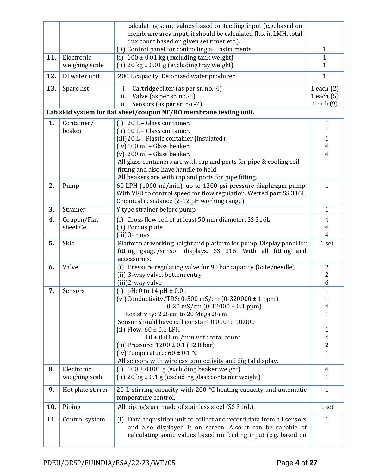|     |                           | calculating some values based on feeding input (e.g. based on<br>membrane area input, it should be calculated flux in LMH, total     |                     |  |
|-----|---------------------------|--------------------------------------------------------------------------------------------------------------------------------------|---------------------|--|
|     |                           | flux count based on given set timer etc.).                                                                                           |                     |  |
|     |                           | (ii) Control panel for controlling all instruments.                                                                                  | $\mathbf{1}$        |  |
| 11. | Electronic                | (i) $100 \pm 0.01$ kg (excluding tank weight)                                                                                        |                     |  |
|     | weighing scale            | (ii) 20 kg $\pm$ 0.01 g (excluding tray weight)                                                                                      |                     |  |
| 12. | DI water unit             | 200 L capacity, Deionized water producer                                                                                             | $\mathbf{1}$        |  |
| 13. | Spare list                | Cartridge filter (as per sr. no.-4)<br>i.                                                                                            | 1 each $(2)$        |  |
|     |                           | Valve (as per sr. no.-8)<br>ii.                                                                                                      | 1 each $(5)$        |  |
|     |                           | Sensors (as per sr. no.-7)<br>iii.                                                                                                   | 1 each (9)          |  |
|     |                           | Lab skid system for flat sheet/coupon NF/RO membrane testing unit.                                                                   |                     |  |
| 1.  | Container/                | (i) $20 L - Glass container.$                                                                                                        | $\mathbf{1}$        |  |
|     | beaker                    | (ii) $10 L - Glass container$ .                                                                                                      | 1                   |  |
|     |                           | (iii) 20 L - Plastic container (insulated).                                                                                          | 1                   |  |
|     |                           | (iv) 100 ml - Glass beaker.                                                                                                          | $\overline{4}$      |  |
|     |                           | $(v)$ 200 ml - Glass beaker.                                                                                                         | 4                   |  |
|     |                           | All glass containers are with cap and ports for pipe & cooling coil                                                                  |                     |  |
|     |                           | fitting and also have handle to hold.                                                                                                |                     |  |
|     |                           | All beakers are with cap and ports for pipe fitting.                                                                                 |                     |  |
| 2.  | Pump                      | 60 LPH (1000 ml/min), up to 1200 psi pressure diaphragm pump.<br>With VFD to control speed for flow regulation. Wetted part SS 316L. | $\mathbf{1}$        |  |
|     |                           | Chemical resistance (2-12 pH working range).                                                                                         |                     |  |
| 3.  | Strainer                  | Y type strainer before pump.                                                                                                         | $\mathbf{1}$        |  |
|     |                           |                                                                                                                                      |                     |  |
| 4.  | Coupon/Flat<br>sheet Cell | (i) Cross flow cell of at least 50 mm diameter, SS 316L<br>(ii) Porous plate                                                         | $\overline{4}$<br>4 |  |
|     |                           | $(iii)$ 0- rings                                                                                                                     | $\overline{4}$      |  |
| 5.  | Skid                      | Platform at working height and platform for pump, Display panel for                                                                  | 1 set               |  |
|     |                           | fitting gauge/sensor displays. SS 316. With all fitting and                                                                          |                     |  |
|     |                           | accessories.                                                                                                                         |                     |  |
| 6.  | Valve                     | (i) Pressure regulating valve for 90 bar capacity (Gate/needle)                                                                      | $\boldsymbol{2}$    |  |
|     |                           | (ii) 3-way valve, bottom entry                                                                                                       | 2                   |  |
|     |                           | (iii)2-way valve                                                                                                                     | 6                   |  |
| 7.  | Sensors                   | (i) pH: 0 to 14 pH $\pm$ 0.01                                                                                                        | $\mathbf{1}$        |  |
|     |                           | (vi) Conductivity/TDS: 0-500 mS/cm $(0-320000 \pm 1$ ppm)                                                                            | $\mathbf{1}$        |  |
|     |                           | $0-20$ mS/cm $(0-12000 \pm 0.1$ ppm)                                                                                                 | 4                   |  |
|     |                           | Resistivity: 2 $\Omega$ -cm to 20 Mega $\Omega$ -cm                                                                                  | $\mathbf{1}$        |  |
|     |                           | Sensor should have cell constant 0.010 to 10.000<br>(ii) Flow: $60 \pm 0.1$ LPH                                                      | $\mathbf{1}$        |  |
|     |                           | $10 \pm 0.01$ ml/min with total count                                                                                                | 4                   |  |
|     |                           | (iii) Pressure: 1200 ± 0.1 (82.8 bar)                                                                                                | $\overline{2}$      |  |
|     |                           | (iv) Temperature: $60 \pm 0.1$ °C                                                                                                    | $\mathbf{1}$        |  |
|     |                           | All sensors with wireless connectivity and digital display.                                                                          |                     |  |
| 8.  | Electronic                | (i) $100 \pm 0.001$ g (excluding beaker weight)                                                                                      | $\overline{4}$      |  |
|     | weighing scale            | (ii) 20 kg $\pm$ 0.1 g (excluding glass container weight)                                                                            | $\mathbf{1}$        |  |
| 9.  | Hot plate stirrer         | 20 L stirring capacity with 200 °C heating capacity and automatic                                                                    | $\mathbf{1}$        |  |
|     |                           | temperature control.                                                                                                                 |                     |  |
| 10. | Piping                    | All piping's are made of stainless steel (SS 316L).                                                                                  | 1 set               |  |
| 11. | Control system            | (i) Data acquisition unit to collect and record data from all sensors                                                                | $\mathbf{1}$        |  |
|     |                           | and also displayed it on screen. Also it can be capable of                                                                           |                     |  |
|     |                           | calculating some values based on feeding input (e.g. based on                                                                        |                     |  |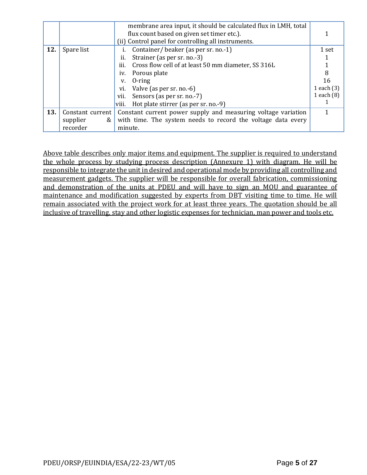|     |                  | membrane area input, it should be calculated flux in LMH, total |       |
|-----|------------------|-----------------------------------------------------------------|-------|
|     |                  | flux count based on given set timer etc.).                      |       |
|     |                  | (ii) Control panel for controlling all instruments.             |       |
| 12. | Spare list       | Container/beaker (as per sr. no.-1)                             | 1 set |
|     |                  | Strainer (as per sr. no.-3)<br>ii.                              |       |
|     |                  | Cross flow cell of at least 50 mm diameter, SS 316L<br>iii.     |       |
|     |                  | Porous plate<br>iv.                                             | 8     |
|     |                  | $0$ -ring<br>V.                                                 |       |
|     |                  | 1 each $(3)$<br>Valve (as per sr. no.-6)<br>vi.                 |       |
|     |                  | 1 each (8)<br>Sensors (as per sr. no.-7)<br>vii.                |       |
|     |                  | Hot plate stirrer (as per sr. no.-9)<br>viii.                   |       |
| 13. | Constant current | Constant current power supply and measuring voltage variation   |       |
|     | supplier<br>&    | with time. The system needs to record the voltage data every    |       |
|     | recorder         | minute.                                                         |       |

Above table describes only major items and equipment. The supplier is required to understand the whole process by studying process description (Annexure 1) with diagram. He will be responsible to integrate the unit in desired and operational mode by providing all controlling and measurement gadgets. The supplier will be responsible for overall fabrication, commissioning and demonstration of the units at PDEU and will have to sign an MOU and guarantee of maintenance and modification suggested by experts from DBT visiting time to time. He will remain associated with the project work for at least three years. The quotation should be all inclusive of travelling, stay and other logistic expenses for technician, man power and tools etc.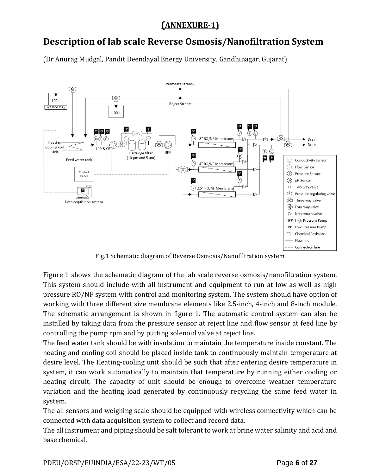# **(ANNEXURE-1)**

# **Description of lab scale Reverse Osmosis/Nanofiltration System**

(Dr Anurag Mudgal, Pandit Deendayal Energy University, Gandhinagar, Gujarat)



Fig.1 Schematic diagram of Reverse Osmosis/Nanofiltration system

Figure 1 shows the schematic diagram of the lab scale reverse osmosis/nanofiltration system. This system should include with all instrument and equipment to run at low as well as high pressure RO/NF system with control and monitoring system. The system should have option of working with three different size membrane elements like 2.5-inch, 4-inch and 8-inch module. The schematic arrangement is shown in figure 1. The automatic control system can also be installed by taking data from the pressure sensor at reject line and flow sensor at feed line by controlling the pump rpm and by putting solenoid valve at reject line.

The feed water tank should be with insulation to maintain the temperature inside constant. The heating and cooling coil should be placed inside tank to continuously maintain temperature at desire level. The Heating-cooling unit should be such that after entering desire temperature in system, it can work automatically to maintain that temperature by running either cooling or heating circuit. The capacity of unit should be enough to overcome weather temperature variation and the heating load generated by continuously recycling the same feed water in system.

The all sensors and weighing scale should be equipped with wireless connectivity which can be connected with data acquisition system to collect and record data.

The all instrument and piping should be salt tolerant to work at brine water salinity and acid and base chemical.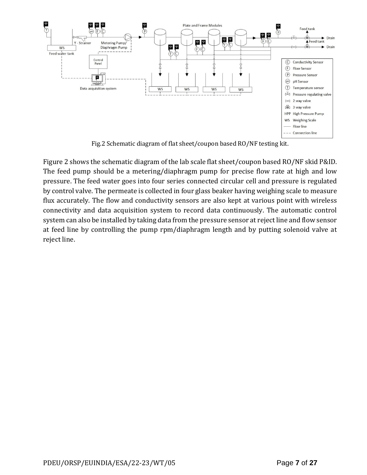

Fig.2 Schematic diagram of flat sheet/coupon based RO/NF testing kit.

Figure 2 shows the schematic diagram of the lab scale flat sheet/coupon based RO/NF skid P&ID. The feed pump should be a metering/diaphragm pump for precise flow rate at high and low pressure. The feed water goes into four series connected circular cell and pressure is regulated by control valve. The permeate is collected in four glass beaker having weighing scale to measure flux accurately. The flow and conductivity sensors are also kept at various point with wireless connectivity and data acquisition system to record data continuously. The automatic control system can also be installed by taking data from the pressure sensor at reject line and flow sensor at feed line by controlling the pump rpm/diaphragm length and by putting solenoid valve at reject line.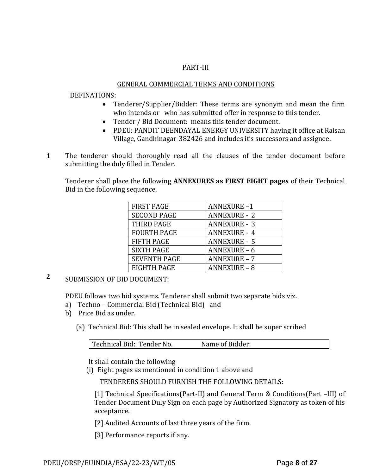#### PART-III

#### GENERAL COMMERCIAL TERMS AND CONDITIONS

#### DEFINATIONS:

- Tenderer/Supplier/Bidder: These terms are synonym and mean the firm who intends or who has submitted offer in response to this tender.
- Tender / Bid Document: means this tender document.
- PDEU: PANDIT DEENDAYAL ENERGY UNIVERSITY having it office at Raisan Village, Gandhinagar-382426 and includes it's successors and assignee.
- **1**1. The tenderer should thoroughly read all the clauses of the tender document before submitting the duly filled in Tender.

Tenderer shall place the following **ANNEXURES as FIRST EIGHT pages** of their Technical Bid in the following sequence.

| <b>FIRST PAGE</b>   | <b>ANNEXURE-1</b>   |
|---------------------|---------------------|
| <b>SECOND PAGE</b>  | <b>ANNEXURE - 2</b> |
| <b>THIRD PAGE</b>   | <b>ANNEXURE - 3</b> |
| <b>FOURTH PAGE</b>  | <b>ANNEXURE - 4</b> |
| <b>FIFTH PAGE</b>   | <b>ANNEXURE - 5</b> |
| <b>SIXTH PAGE</b>   | <b>ANNEXURE - 6</b> |
| <b>SEVENTH PAGE</b> | <b>ANNEXURE - 7</b> |
| EIGHTH PAGE         | <b>ANNEXURE - 8</b> |

**2** SUBMISSION OF BID DOCUMENT:

PDEU follows two bid systems. Tenderer shall submit two separate bids viz.

- a) Techno Commercial Bid (Technical Bid) and
- b) Price Bid as under.
	- (a) Technical Bid: This shall be in sealed envelope. It shall be super scribed

It shall contain the following

(i) Eight pages as mentioned in condition 1 above and

TENDERERS SHOULD FURNISH THE FOLLOWING DETAILS:

[1] Technical Specifications(Part-II) and General Term & Conditions(Part –III) of Tender Document Duly Sign on each page by Authorized Signatory as token of his acceptance.

[2] Audited Accounts of last three years of the firm.

[3] Performance reports if any.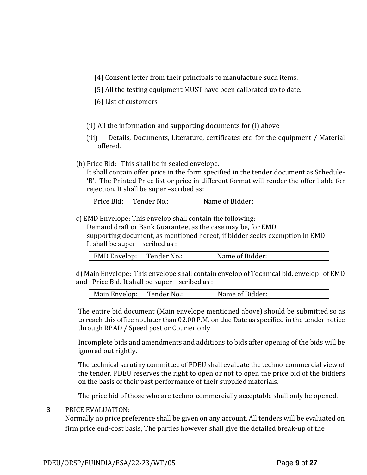- [4] Consent letter from their principals to manufacture such items.
- [5] All the testing equipment MUST have been calibrated up to date.
- [6] List of customers
- (ii) All the information and supporting documents for (i) above
- (iii) Details, Documents, Literature, certificates etc. for the equipment / Material offered.
- (b) Price Bid: This shall be in sealed envelope.

It shall contain offer price in the form specified in the tender document as Schedule- 'B'. The Printed Price list or price in different format will render the offer liable for rejection. It shall be super –scribed as:

| Price Bid:<br>Tender No.: | Name of Bidder: |
|---------------------------|-----------------|
|---------------------------|-----------------|

c) EMD Envelope: This envelop shall contain the following:

Demand draft or Bank Guarantee, as the case may be, for EMD supporting document, as mentioned hereof, if bidder seeks exemption in EMD It shall be super – scribed as :

| <b>EMD Envelop:</b> | Tender No.: | Name of Bidder: |
|---------------------|-------------|-----------------|
|---------------------|-------------|-----------------|

d) Main Envelope: This envelope shall contain envelop of Technical bid, envelop of EMD and Price Bid. It shall be super – scribed as :

| Main Envelop: | Tender No.: | Name of Bidder: |
|---------------|-------------|-----------------|
|               |             |                 |

The entire bid document (Main envelope mentioned above) should be submitted so as to reach this office not later than 02.00 P.M. on due Date as specified in the tender notice through RPAD / Speed post or Courier only

Incomplete bids and amendments and additions to bids after opening of the bids will be ignored out rightly.

The technical scrutiny committee of PDEU shall evaluate the techno-commercial view of the tender. PDEU reserves the right to open or not to open the price bid of the bidders on the basis of their past performance of their supplied materials.

The price bid of those who are techno-commercially acceptable shall only be opened.

#### **3** PRICE EVALUATION:

Normally no price preference shall be given on any account. All tenders will be evaluated on firm price end-cost basis; The parties however shall give the detailed break-up of the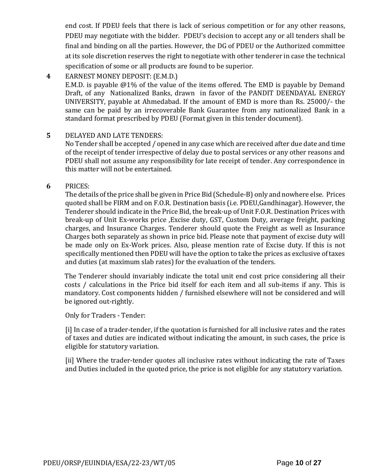end cost. If PDEU feels that there is lack of serious competition or for any other reasons, PDEU may negotiate with the bidder. PDEU's decision to accept any or all tenders shall be final and binding on all the parties. However, the DG of PDEU or the Authorized committee at its sole discretion reserves the right to negotiate with other tenderer in case the technical specification of some or all products are found to be superior.

**4** EARNEST MONEY DEPOSIT: (E.M.D.)

E.M.D. is payable @1% of the value of the items offered. The EMD is payable by Demand Draft, of any Nationalized Banks, drawn in favor of the PANDIT DEENDAYAL ENERGY UNIVERSITY, payable at Ahmedabad. If the amount of EMD is more than Rs. 25000/- the same can be paid by an irrecoverable Bank Guarantee from any nationalized Bank in a standard format prescribed by PDEU (Format given in this tender document).

**5** DELAYED AND LATE TENDERS:

No Tender shall be accepted / opened in any case which are received after due date and time of the receipt of tender irrespective of delay due to postal services or any other reasons and PDEU shall not assume any responsibility for late receipt of tender. Any correspondence in this matter will not be entertained.

**6** PRICES:

The details of the price shall be given in Price Bid (Schedule-B) only and nowhere else. Prices quoted shall be FIRM and on F.O.R. Destination basis (i.e. PDEU,Gandhinagar). However, the Tenderer should indicate in the Price Bid, the break-up of Unit F.O.R. Destination Prices with break-up of Unit Ex-works price ,Excise duty, GST, Custom Duty, average freight, packing charges, and Insurance Charges. Tenderer should quote the Freight as well as Insurance Charges both separately as shown in price bid. Please note that payment of excise duty will be made only on Ex-Work prices. Also, please mention rate of Excise duty. If this is not specifically mentioned then PDEU will have the option to take the prices as exclusive of taxes and duties (at maximum slab rates) for the evaluation of the tenders.

The Tenderer should invariably indicate the total unit end cost price considering all their costs / calculations in the Price bid itself for each item and all sub-items if any. This is mandatory. Cost components hidden / furnished elsewhere will not be considered and will be ignored out-rightly.

Only for Traders - Tender:

[i] In case of a trader-tender, if the quotation is furnished for all inclusive rates and the rates of taxes and duties are indicated without indicating the amount, in such cases, the price is eligible for statutory variation.

[ii] Where the trader-tender quotes all inclusive rates without indicating the rate of Taxes and Duties included in the quoted price, the price is not eligible for any statutory variation.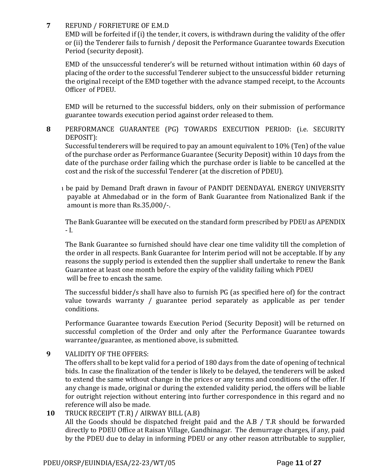### **7** REFUND / FORFIETURE OF E.M.D

EMD will be forfeited if (i) the tender, it covers, is withdrawn during the validity of the offer or (ii) the Tenderer fails to furnish / deposit the Performance Guarantee towards Execution Period (security deposit).

EMD of the unsuccessful tenderer's will be returned without intimation within 60 days of placing of the order to the successful Tenderer subject to the unsuccessful bidder returning the original receipt of the EMD together with the advance stamped receipt, to the Accounts Officer of PDEU.

EMD will be returned to the successful bidders, only on their submission of performance guarantee towards execution period against order released to them.

**8** PERFORMANCE GUARANTEE (PG) TOWARDS EXECUTION PERIOD: (i.e. SECURITY DEPOSIT):

Successful tenderers will be required to pay an amount equivalent to 10% (Ten) of the value of the purchase order as Performance Guarantee (Security Deposit) within 10 days from the date of the purchase order failing which the purchase order is liable to be cancelled at the cost and the risk of the successful Tenderer (at the discretion of PDEU).

I be paid by Demand Draft drawn in favour of PANDIT DEENDAYAL ENERGY UNIVERSITY payable at Ahmedabad or in the form of Bank Guarantee from Nationalized Bank if the amount is more than Rs.35,000/-.

The Bank Guarantee will be executed on the standard form prescribed by PDEU as APENDIX - I.

The Bank Guarantee so furnished should have clear one time validity till the completion of the order in all respects. Bank Guarantee for Interim period will not be acceptable. If by any reasons the supply period is extended then the supplier shall undertake to renew the Bank Guarantee at least one month before the expiry of the validity failing which PDEU will be free to encash the same.

The successful bidder/s shall have also to furnish PG (as specified here of) for the contract value towards warranty / guarantee period separately as applicable as per tender conditions.

Performance Guarantee towards Execution Period (Security Deposit) will be returned on successful completion of the Order and only after the Performance Guarantee towards warrantee/guarantee, as mentioned above, is submitted.

## **9** VALIDITY OF THE OFFERS:

The offers shall to be kept valid for a period of 180 days from the date of opening of technical bids. In case the finalization of the tender is likely to be delayed, the tenderers will be asked to extend the same without change in the prices or any terms and conditions of the offer. If any change is made, original or during the extended validity period, the offers will be liable for outright rejection without entering into further correspondence in this regard and no reference will also be made.

#### **10** TRUCK RECEIPT (T.R) / AIRWAY BILL (A.B) All the Goods should be dispatched freight paid and the A.B / T.R should be forwarded directly to PDEU Office at Raisan Village, Gandhinagar. The demurrage charges, if any, paid by the PDEU due to delay in informing PDEU or any other reason attributable to supplier,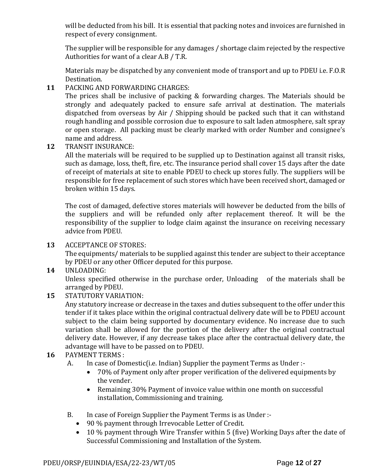will be deducted from his bill. It is essential that packing notes and invoices are furnished in respect of every consignment.

The supplier will be responsible for any damages / shortage claim rejected by the respective Authorities for want of a clear A.B / T.R.

Materials may be dispatched by any convenient mode of transport and up to PDEU i.e. F.O.R Destination.

**11** PACKING AND FORWARDING CHARGES:

The prices shall be inclusive of packing & forwarding charges. The Materials should be strongly and adequately packed to ensure safe arrival at destination. The materials dispatched from overseas by Air / Shipping should be packed such that it can withstand rough handling and possible corrosion due to exposure to salt laden atmosphere, salt spray or open storage. All packing must be clearly marked with order Number and consignee's name and address.

**12** TRANSIT INSURANCE:

All the materials will be required to be supplied up to Destination against all transit risks, such as damage, loss, theft, fire, etc. The insurance period shall cover 15 days after the date of receipt of materials at site to enable PDEU to check up stores fully. The suppliers will be responsible for free replacement of such stores which have been received short, damaged or broken within 15 days.

The cost of damaged, defective stores materials will however be deducted from the bills of the suppliers and will be refunded only after replacement thereof. It will be the responsibility of the supplier to lodge claim against the insurance on receiving necessary advice from PDEU.

**13** ACCEPTANCE OF STORES:

The equipments/ materials to be supplied against this tender are subject to their acceptance by PDEU or any other Officer deputed for this purpose.

**14** UNLOADING:

Unless specified otherwise in the purchase order, Unloading of the materials shall be arranged by PDEU.

**15** STATUTORY VARIATION:

Any statutory increase or decrease in the taxes and duties subsequent to the offer under this tender if it takes place within the original contractual delivery date will be to PDEU account subject to the claim being supported by documentary evidence. No increase due to such variation shall be allowed for the portion of the delivery after the original contractual delivery date. However, if any decrease takes place after the contractual delivery date, the advantage will have to be passed on to PDEU.

- **16** PAYMENT TERMS :
	- A. In case of Domestic(i.e. Indian) Supplier the payment Terms as Under :-
		- 70% of Payment only after proper verification of the delivered equipments by the vender.
		- Remaining 30% Payment of invoice value within one month on successful installation, Commissioning and training.
	- B. In case of Foreign Supplier the Payment Terms is as Under :-
		- 90 % payment through Irrevocable Letter of Credit.
		- 10 % payment through Wire Transfer within 5 (five) Working Days after the date of Successful Commissioning and Installation of the System.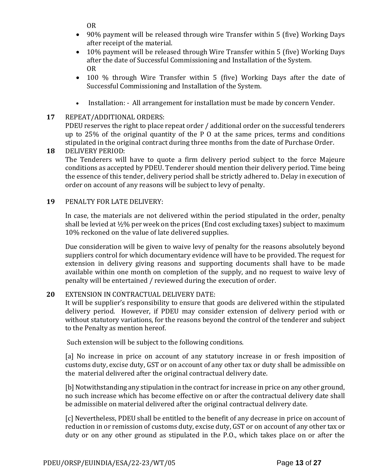OR

- 90% payment will be released through wire Transfer within 5 (five) Working Days after receipt of the material.
- 10% payment will be released through Wire Transfer within 5 (five) Working Days after the date of Successful Commissioning and Installation of the System. OR
- 100 % through Wire Transfer within 5 (five) Working Days after the date of Successful Commissioning and Installation of the System.
- Installation: All arrangement for installation must be made by concern Vender.

## **17** REPEAT/ADDITIONAL ORDERS:

PDEU reserves the right to place repeat order / additional order on the successful tenderers up to 25% of the original quantity of the P O at the same prices, terms and conditions stipulated in the original contract during three months from the date of Purchase Order.

## **18** DELIVERY PERIOD:

The Tenderers will have to quote a firm delivery period subject to the force Majeure conditions as accepted by PDEU. Tenderer should mention their delivery period. Time being the essence of this tender, delivery period shall be strictly adhered to. Delay in execution of order on account of any reasons will be subject to levy of penalty.

#### **19** PENALTY FOR LATE DELIVERY:

In case, the materials are not delivered within the period stipulated in the order, penalty shall be levied at ½% per week on the prices (End cost excluding taxes) subject to maximum 10% reckoned on the value of late delivered supplies.

Due consideration will be given to waive levy of penalty for the reasons absolutely beyond suppliers control for which documentary evidence will have to be provided. The request for extension in delivery giving reasons and supporting documents shall have to be made available within one month on completion of the supply, and no request to waive levy of penalty will be entertained / reviewed during the execution of order.

#### **20** EXTENSION IN CONTRACTUAL DELIVERY DATE:

It will be supplier's responsibility to ensure that goods are delivered within the stipulated delivery period. However, if PDEU may consider extension of delivery period with or without statutory variations, for the reasons beyond the control of the tenderer and subject to the Penalty as mention hereof.

Such extension will be subject to the following conditions.

[a] No increase in price on account of any statutory increase in or fresh imposition of customs duty, excise duty, GST or on account of any other tax or duty shall be admissible on the material delivered after the original contractual delivery date.

[b] Notwithstanding any stipulation in the contract for increase in price on any other ground, no such increase which has become effective on or after the contractual delivery date shall be admissible on material delivered after the original contractual delivery date.

[c] Nevertheless, PDEU shall be entitled to the benefit of any decrease in price on account of reduction in or remission of customs duty, excise duty, GST or on account of any other tax or duty or on any other ground as stipulated in the P.O., which takes place on or after the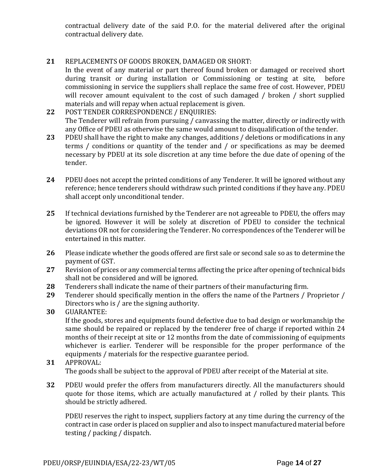contractual delivery date of the said P.O. for the material delivered after the original contractual delivery date.

## **21** REPLACEMENTS OF GOODS BROKEN, DAMAGED OR SHORT:

In the event of any material or part thereof found broken or damaged or received short during transit or during installation or Commissioning or testing at site, before commissioning in service the suppliers shall replace the same free of cost. However, PDEU will recover amount equivalent to the cost of such damaged / broken / short supplied materials and will repay when actual replacement is given.

- **22** POST TENDER CORRESPONDENCE / ENQUIRIES: The Tenderer will refrain from pursuing / canvassing the matter, directly or indirectly with any Office of PDEU as otherwise the same would amount to disqualification of the tender.
- **23** PDEU shall have the right to make any changes, additions / deletions or modifications in any terms / conditions or quantity of the tender and / or specifications as may be deemed necessary by PDEU at its sole discretion at any time before the due date of opening of the tender.
- **24** PDEU does not accept the printed conditions of any Tenderer. It will be ignored without any reference; hence tenderers should withdraw such printed conditions if they have any. PDEU shall accept only unconditional tender.
- **25** If technical deviations furnished by the Tenderer are not agreeable to PDEU, the offers may be ignored. However it will be solely at discretion of PDEU to consider the technical deviations OR not for considering the Tenderer. No correspondences of the Tenderer will be entertained in this matter.
- **26** Please indicate whether the goods offered are first sale or second sale so as to determine the payment of GST.
- **27** Revision of prices or any commercial terms affecting the price after opening of technical bids shall not be considered and will be ignored.
- **28** Tenderers shall indicate the name of their partners of their manufacturing firm.
- **29** Tenderer should specifically mention in the offers the name of the Partners / Proprietor / Directors who is / are the signing authority.
- **30** GUARANTEE:

If the goods, stores and equipments found defective due to bad design or workmanship the same should be repaired or replaced by the tenderer free of charge if reported within 24 months of their receipt at site or 12 months from the date of commissioning of equipments whichever is earlier. Tenderer will be responsible for the proper performance of the equipments / materials for the respective guarantee period.

#### **31** APPROVAL: The goods shall be subject to the approval of PDEU after receipt of the Material at site.

**32** PDEU would prefer the offers from manufacturers directly. All the manufacturers should quote for those items, which are actually manufactured at / rolled by their plants. This should be strictly adhered.

PDEU reserves the right to inspect, suppliers factory at any time during the currency of the contract in case order is placed on supplier and also to inspect manufactured material before testing / packing / dispatch.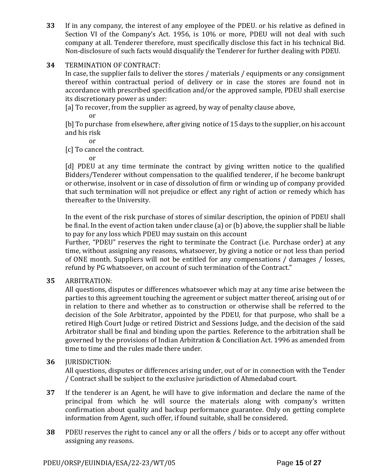**33** If in any company, the interest of any employee of the PDEU. or his relative as defined in Section VI of the Company's Act. 1956, is 10% or more, PDEU will not deal with such company at all. Tenderer therefore, must specifically disclose this fact in his technical Bid. Non-disclosure of such facts would disqualify the Tenderer for further dealing with PDEU.

## **34** TERMINATION OF CONTRACT:

In case, the supplier fails to deliver the stores / materials / equipments or any consignment thereof within contractual period of delivery or in case the stores are found not in accordance with prescribed specification and/or the approved sample, PDEU shall exercise its discretionary power as under:

[a] To recover, from the supplier as agreed, by way of penalty clause above,

or

[b] To purchase from elsewhere, after giving notice of 15 days to the supplier, on his account and his risk

or

[c] To cancel the contract.

or

[d] PDEU at any time terminate the contract by giving written notice to the qualified Bidders/Tenderer without compensation to the qualified tenderer, if he become bankrupt or otherwise, insolvent or in case of dissolution of firm or winding up of company provided that such termination will not prejudice or effect any right of action or remedy which has thereafter to the University.

In the event of the risk purchase of stores of similar description, the opinion of PDEU shall be final. In the event of action taken under clause (a) or (b) above, the supplier shall be liable to pay for any loss which PDEU may sustain on this account

Further, "PDEU" reserves the right to terminate the Contract (i.e. Purchase order) at any time, without assigning any reasons, whatsoever, by giving a notice or not less than period of ONE month. Suppliers will not be entitled for any compensations / damages / losses, refund by PG whatsoever, on account of such termination of the Contract."

#### **35** ARBITRATION:

All questions, disputes or differences whatsoever which may at any time arise between the parties to this agreement touching the agreement or subject matter thereof, arising out of or in relation to there and whether as to construction or otherwise shall be referred to the decision of the Sole Arbitrator, appointed by the PDEU, for that purpose, who shall be a retired High Court Judge or retired District and Sessions Judge, and the decision of the said Arbitrator shall be final and binding upon the parties. Reference to the arbitration shall be governed by the provisions of Indian Arbitration & Conciliation Act. 1996 as amended from time to time and the rules made there under.

#### **36** JURISDICTION:

All questions, disputes or differences arising under, out of or in connection with the Tender / Contract shall be subject to the exclusive jurisdiction of Ahmedabad court.

- **37** If the tenderer is an Agent, he will have to give information and declare the name of the principal from which he will source the materials along with company's written confirmation about quality and backup performance guarantee. Only on getting complete information from Agent, such offer, if found suitable, shall be considered.
- **38** PDEU reserves the right to cancel any or all the offers / bids or to accept any offer without assigning any reasons.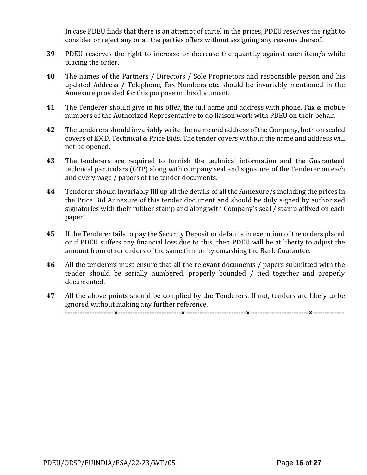In case PDEU finds that there is an attempt of cartel in the prices, PDEU reserves the right to consider or reject any or all the parties offers without assigning any reasons thereof.

- **39** PDEU reserves the right to increase or decrease the quantity against each item/s while placing the order.
- **40** The names of the Partners / Directors / Sole Proprietors and responsible person and his updated Address / Telephone, Fax Numbers etc. should be invariably mentioned in the Annexure provided for this purpose in this document.
- **41** The Tenderer should give in his offer, the full name and address with phone, Fax & mobile numbers of the Authorized Representative to do liaison work with PDEU on their behalf.
- **42** The tenderers should invariably write the name and address of the Company, both on sealed covers of EMD, Technical & Price Bids. The tender covers without the name and address will not be opened.
- **43** The tenderers are required to furnish the technical information and the Guaranteed technical particulars (GTP) along with company seal and signature of the Tenderer on each and every page / papers of the tender documents.
- **44** Tenderer should invariably fill up all the details of all the Annexure/s including the prices in the Price Bid Annexure of this tender document and should be duly signed by authorized signatories with their rubber stamp and along with Company's seal / stamp affixed on each paper.
- **45** If the Tenderer fails to pay the Security Deposit or defaults in execution of the orders placed or if PDEU suffers any financial loss due to this, then PDEU will be at liberty to adjust the amount from other orders of the same firm or by encashing the Bank Guarantee.
- **46** All the tenderers must ensure that all the relevant documents / papers submitted with the tender should be serially numbered, properly bounded / tied together and properly documented.
- **47** All the above points should be complied by the Tenderers. If not, tenders are likely to be ignored without making any further reference. **--------------------×--------------------------×-------------------------×------------------------×-------------**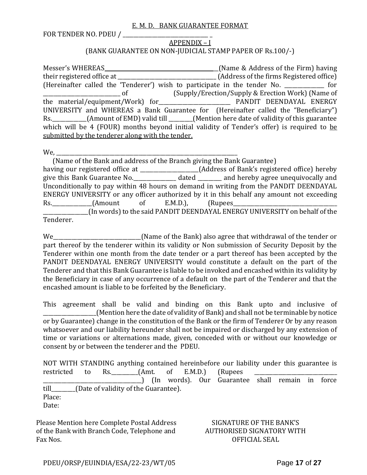#### E. M. D. BANK GUARANTEE FORMAT

FOR TENDER NO. PDEU /

## APPENDIX – I

## (BANK GUARANTEE ON NON-JUDICIAL STAMP PAPER OF Rs.100/-)

Messer's WHEREAS \_\_\_\_\_\_\_\_\_\_\_\_\_\_\_\_\_\_\_\_\_\_\_\_\_\_\_\_\_\_\_\_\_\_\_\_\_\_\_\_\_\_(Name & Address of the Firm) having their registered office at \_\_\_\_\_\_\_\_\_\_\_\_\_\_\_\_\_\_\_\_\_\_\_\_\_\_\_\_\_\_\_\_\_\_\_\_\_ (Address of the firms Registered office) (Hereinafter called the 'Tenderer') wish to participate in the tender No. \_\_\_\_\_\_\_\_\_\_\_\_\_\_\_ for \_\_\_\_\_\_\_\_\_\_\_\_\_\_\_\_\_\_\_\_\_\_\_\_\_\_\_\_\_ of (Supply/Erection/Supply & Erection Work) (Name of the material/equipment/Work) for\_\_\_\_\_\_\_\_\_\_\_\_\_\_\_\_\_\_\_\_\_\_\_\_\_\_\_ PANDIT DEENDAYAL ENERGY UNIVERSITY and WHEREAS a Bank Guarantee for (Hereinafter called the "Beneficiary") Rs.\_\_\_\_\_\_\_\_\_\_\_\_\_(Amount of EMD) valid till \_\_\_\_\_\_\_\_\_(Mention here date of validity of this guarantee which will be 4 (FOUR) months beyond initial validity of Tender's offer) is required to be submitted by the tenderer along with the tender.

We, \_\_\_\_\_\_\_\_\_\_\_\_\_\_\_\_\_\_\_\_\_\_\_\_\_\_\_\_\_\_\_\_\_\_\_\_\_\_\_\_\_\_\_\_\_\_\_\_\_\_\_\_\_\_\_\_\_\_\_\_\_\_\_\_\_\_\_\_

 (Name of the Bank and address of the Branch giving the Bank Guarantee) having our registered office at \_\_\_\_\_\_\_\_\_\_\_\_\_\_\_\_\_\_(Address of Bank's registered office) hereby give this Bank Guarantee No. \_\_\_\_\_\_\_\_\_\_\_\_\_\_\_ dated \_\_\_\_\_\_\_\_ and hereby agree unequivocally and Unconditionally to pay within 48 hours on demand in writing from the PANDIT DEENDAYAL ENERGY UNIVERSITY or any officer authorized by it in this behalf any amount not exceeding Rs. (Amount of E.M.D.), (Rupees \_\_\_\_\_\_\_\_\_\_\_\_\_\_\_\_\_(In words) to the said PANDIT DEENDAYAL ENERGY UNIVERSITY on behalf of the Tenderer.

We <u>Eigenberth (Name of the Bank)</u> also agree that withdrawal of the tender or part thereof by the tenderer within its validity or Non submission of Security Deposit by the Tenderer within one month from the date tender or a part thereof has been accepted by the PANDIT DEENDAYAL ENERGY UNIVERSITY would constitute a default on the part of the Tenderer and that this Bank Guarantee is liable to be invoked and encashed within its validity by the Beneficiary in case of any occurrence of a default on the part of the Tenderer and that the encashed amount is liable to be forfeited by the Beneficiary.

This agreement shall be valid and binding on this Bank upto and inclusive of \_\_\_\_\_\_\_\_\_\_\_\_\_\_\_\_\_\_\_\_(Mention here the date of validity of Bank) and shall not be terminable by notice or by Guarantee) change in the constitution of the Bank or the firm of Tenderer Or by any reason whatsoever and our liability hereunder shall not be impaired or discharged by any extension of time or variations or alternations made, given, conceded with or without our knowledge or consent by or between the tenderer and the PDEU.

NOT WITH STANDING anything contained hereinbefore our liability under this guarantee is restricted to Rs.\_\_\_\_\_\_\_\_\_\_(Amt. of E.M.D.) (Rupees \_\_\_\_\_\_\_\_\_\_\_\_\_\_\_\_\_\_\_\_\_\_\_\_\_\_\_\_\_\_\_\_\_\_\_\_\_) (In words). Our Guarantee shall remain in force till (Date of validity of the Guarantee). Place: Date:

Please Mention here Complete Postal Address of the Bank with Branch Code, Telephone and Fax Nos.

SIGNATURE OF THE BANK'S AUTHORISED SIGNATORY WITH OFFICIAL SEAL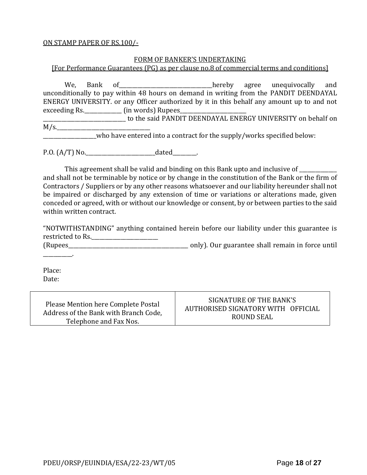#### ON STAMP PAPER OF RS.100/-

#### FORM OF BANKER'S UNDERTAKING

[For Performance Guarantees (PG) as per clause no.8 of commercial terms and conditions]

We, Bank of\_\_\_\_\_\_\_\_\_\_\_\_\_\_\_\_\_\_\_\_\_\_\_\_\_\_\_\_\_\_\_\_\_\_\_hereby agree unequivocally and unconditionally to pay within 48 hours on demand in writing from the PANDIT DEENDAYAL ENERGY UNIVERSITY. or any Officer authorized by it in this behalf any amount up to and not exceeding Rs.\_\_\_\_\_\_\_\_\_\_\_\_\_\_\_\_\_\_\_\_ (in words) Rupees\_

\_\_\_\_\_\_\_\_\_\_\_\_\_\_\_\_\_\_\_\_\_\_\_\_\_\_\_\_\_\_\_ to the said PANDIT DEENDAYAL ENERGY UNIVERSITY on behalf on  $M/s$ .

who have entered into a contract for the supply/works specified below:

P.O.  $(A/T)$  No.  $\qquad \qquad \text{dated}$  .

This agreement shall be valid and binding on this Bank upto and inclusive of and shall not be terminable by notice or by change in the constitution of the Bank or the firm of Contractors / Suppliers or by any other reasons whatsoever and our liability hereunder shall not be impaired or discharged by any extension of time or variations or alterations made, given conceded or agreed, with or without our knowledge or consent, by or between parties to the said within written contract.

"NOTWITHSTANDING" anything contained herein before our liability under this guarantee is restricted to Rs.

(Rupees<br>The contract of the contract only). Our guarantee shall remain in force until

Place: Date:

\_\_\_\_\_\_\_\_\_\_\_.

| Please Mention here Complete Postal   | SIGNATURE OF THE BANK'S            |
|---------------------------------------|------------------------------------|
| Address of the Bank with Branch Code, | AUTHORISED SIGNATORY WITH OFFICIAL |
| Telephone and Fax Nos.                | ROUND SEAL                         |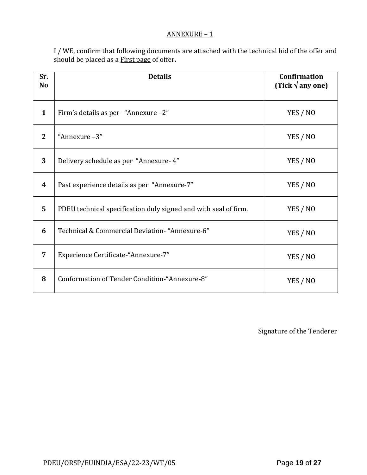#### ANNEXURE – 1

I / WE, confirm that following documents are attached with the technical bid of the offer and should be placed as a First page of offer**.**

| Sr.<br>N <sub>o</sub> | <b>Details</b>                                                  | <b>Confirmation</b><br>(Tick $\sqrt{$ any one) |
|-----------------------|-----------------------------------------------------------------|------------------------------------------------|
| $\mathbf{1}$          | Firm's details as per "Annexure -2"                             | YES / NO                                       |
| $\overline{2}$        | "Annexure-3"                                                    | YES / NO                                       |
| 3                     | Delivery schedule as per "Annexure-4"                           | YES / NO                                       |
| 4                     | Past experience details as per "Annexure-7"                     | YES / NO                                       |
| 5                     | PDEU technical specification duly signed and with seal of firm. | YES / NO                                       |
| 6                     | Technical & Commercial Deviation- "Annexure-6"                  | YES / NO                                       |
| 7                     | Experience Certificate-"Annexure-7"                             | YES / NO                                       |
| 8                     | Conformation of Tender Condition-"Annexure-8"                   | YES / NO                                       |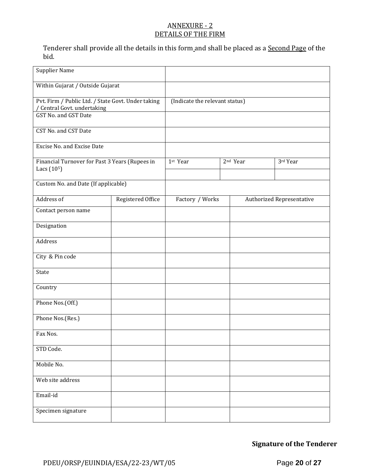## ANNEXURE - 2 DETAILS OF THE FIRM

Tenderer shall provide all the details in this form and shall be placed as a Second Page of the bid.

| <b>Supplier Name</b>                                                            |                                |                 |  |                      |                                  |
|---------------------------------------------------------------------------------|--------------------------------|-----------------|--|----------------------|----------------------------------|
| Within Gujarat / Outside Gujarat                                                |                                |                 |  |                      |                                  |
| Pvt. Firm / Public Ltd. / State Govt. Under taking<br>Central Govt. undertaking | (Indicate the relevant status) |                 |  |                      |                                  |
| <b>GST No. and GST Date</b>                                                     |                                |                 |  |                      |                                  |
| <b>CST No. and CST Date</b>                                                     |                                |                 |  |                      |                                  |
| <b>Excise No. and Excise Date</b>                                               |                                |                 |  |                      |                                  |
| Financial Turnover for Past 3 Years (Rupees in<br>Lacs $(105)$                  |                                | 1st Year        |  | 2 <sup>nd</sup> Year | 3rd Year                         |
| Custom No. and Date (If applicable)                                             |                                |                 |  |                      |                                  |
| Address of                                                                      | Registered Office              | Factory / Works |  |                      | <b>Authorized Representative</b> |
| Contact person name                                                             |                                |                 |  |                      |                                  |
| Designation                                                                     |                                |                 |  |                      |                                  |
| Address                                                                         |                                |                 |  |                      |                                  |
| City & Pin code                                                                 |                                |                 |  |                      |                                  |
| State                                                                           |                                |                 |  |                      |                                  |
| Country                                                                         |                                |                 |  |                      |                                  |
| Phone Nos.(Off.)                                                                |                                |                 |  |                      |                                  |
| Phone Nos.(Res.)                                                                |                                |                 |  |                      |                                  |
| Fax Nos.                                                                        |                                |                 |  |                      |                                  |
| STD Code.                                                                       |                                |                 |  |                      |                                  |
| Mobile No.                                                                      |                                |                 |  |                      |                                  |
| Web site address                                                                |                                |                 |  |                      |                                  |
| Email-id                                                                        |                                |                 |  |                      |                                  |
| Specimen signature                                                              |                                |                 |  |                      |                                  |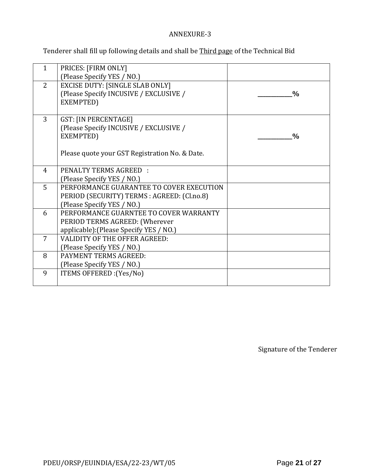## ANNEXURE-3

Tenderer shall fill up following details and shall be Third page of the Technical Bid

| $\mathbf{1}$   | PRICES: [FIRM ONLY]<br>(Please Specify YES / NO.)                                                                             |               |
|----------------|-------------------------------------------------------------------------------------------------------------------------------|---------------|
| $\overline{2}$ | <b>EXCISE DUTY: [SINGLE SLAB ONLY]</b><br>(Please Specify INCUSIVE / EXCLUSIVE /<br>EXEMPTED)                                 | $\frac{0}{0}$ |
| 3              | GST: [IN PERCENTAGE]<br>(Please Specify INCUSIVE / EXCLUSIVE /<br>EXEMPTED)<br>Please quote your GST Registration No. & Date. | $\frac{0}{0}$ |
|                |                                                                                                                               |               |
| 4              | PENALTY TERMS AGREED :<br>(Please Specify YES / NO.)                                                                          |               |
| 5              | PERFORMANCE GUARANTEE TO COVER EXECUTION<br>PERIOD (SECURITY) TERMS : AGREED: (Cl.no.8)<br>(Please Specify YES / NO.)         |               |
| 6              | PERFORMANCE GUARNTEE TO COVER WARRANTY<br>PERIOD TERMS AGREED: (Wherever<br>applicable): (Please Specify YES / NO.)           |               |
| $\overline{7}$ | <b>VALIDITY OF THE OFFER AGREED:</b><br>(Please Specify YES / NO.)                                                            |               |
| 8              | <b>PAYMENT TERMS AGREED:</b><br>(Please Specify YES / NO.)                                                                    |               |
| 9              | ITEMS OFFERED : (Yes/No)                                                                                                      |               |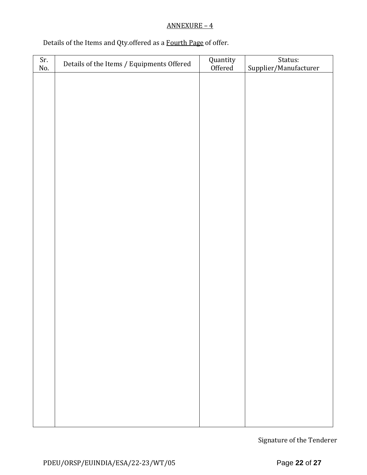## ANNEXURE – 4

## Details of the Items and Qty.offered as a Fourth Page of offer.

| Sr.<br>No. | Details of the Items / Equipments Offered | Quantity<br>Offered | Status:<br>Supplier/Manufacturer |
|------------|-------------------------------------------|---------------------|----------------------------------|
|            |                                           |                     |                                  |
|            |                                           |                     |                                  |
|            |                                           |                     |                                  |
|            |                                           |                     |                                  |
|            |                                           |                     |                                  |
|            |                                           |                     |                                  |
|            |                                           |                     |                                  |
|            |                                           |                     |                                  |
|            |                                           |                     |                                  |
|            |                                           |                     |                                  |
|            |                                           |                     |                                  |
|            |                                           |                     |                                  |
|            |                                           |                     |                                  |
|            |                                           |                     |                                  |
|            |                                           |                     |                                  |
|            |                                           |                     |                                  |
|            |                                           |                     |                                  |
|            |                                           |                     |                                  |
|            |                                           |                     |                                  |
|            |                                           |                     |                                  |
|            |                                           |                     |                                  |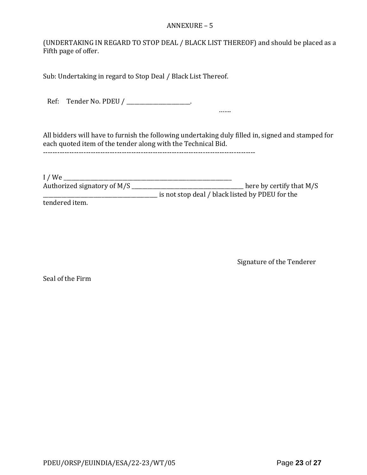#### ANNEXURE – 5

(UNDERTAKING IN REGARD TO STOP DEAL / BLACK LIST THEREOF) and should be placed as a Fifth page of offer.

Sub: Undertaking in regard to Stop Deal / Black List Thereof.

Ref: Tender No. PDEU / \_\_\_\_\_\_\_\_\_\_\_\_\_\_\_\_\_\_\_.

All bidders will have to furnish the following undertaking duly filled in, signed and stamped for each quoted item of the tender along with the Technical Bid.

-----------------------------------------------------------------------------------------

…….

I / We \_\_\_\_\_\_\_\_\_\_\_\_\_\_\_\_\_\_\_\_\_\_\_\_\_\_\_\_\_\_\_\_\_\_\_\_\_\_\_\_\_\_\_\_\_\_\_\_\_\_\_\_\_\_\_\_\_\_\_\_\_\_\_ Authorized signatory of M/S \_\_\_\_\_\_\_\_\_\_\_\_\_\_\_\_\_\_\_\_\_\_\_\_\_\_\_\_\_\_\_\_\_\_\_\_\_\_\_\_\_\_ here by certify that M/S \_\_\_\_\_\_\_\_\_\_\_\_\_\_\_\_\_\_\_\_\_\_\_\_\_\_\_\_\_\_\_\_\_\_\_\_\_\_\_\_\_\_\_ is not stop deal / black listed by PDEU for the

tendered item.

Signature of the Tenderer

Seal of the Firm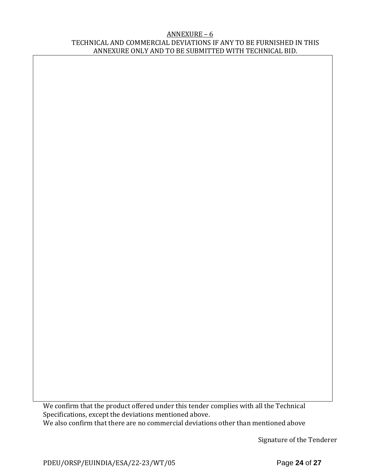#### ANNEXURE – 6 TECHNICAL AND COMMERCIAL DEVIATIONS IF ANY TO BE FURNISHED IN THIS ANNEXURE ONLY AND TO BE SUBMITTED WITH TECHNICAL BID.

We confirm that the product offered under this tender complies with all the Technical Specifications, except the deviations mentioned above. We also confirm that there are no commercial deviations other than mentioned above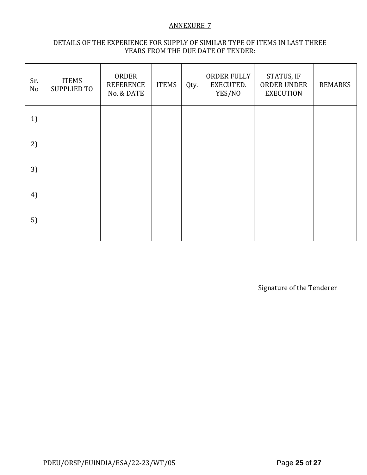#### ANNEXURE-7

## DETAILS OF THE EXPERIENCE FOR SUPPLY OF SIMILAR TYPE OF ITEMS IN LAST THREE YEARS FROM THE DUE DATE OF TENDER:

| Sr.<br>No | <b>ITEMS</b><br><b>SUPPLIED TO</b> | ORDER<br><b>REFERENCE</b><br>No. & DATE | <b>ITEMS</b> | Qty. | ORDER FULLY<br>EXECUTED.<br>YES/NO | STATUS, IF<br>ORDER UNDER<br><b>EXECUTION</b> | <b>REMARKS</b> |
|-----------|------------------------------------|-----------------------------------------|--------------|------|------------------------------------|-----------------------------------------------|----------------|
| 1)        |                                    |                                         |              |      |                                    |                                               |                |
| 2)        |                                    |                                         |              |      |                                    |                                               |                |
| 3)        |                                    |                                         |              |      |                                    |                                               |                |
| 4)        |                                    |                                         |              |      |                                    |                                               |                |
| 5)        |                                    |                                         |              |      |                                    |                                               |                |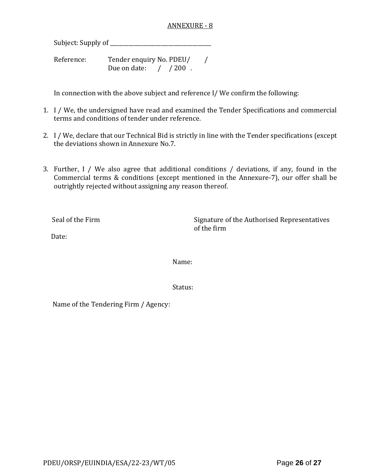### ANNEXURE - 8

Subject: Supply of \_\_\_\_\_\_\_\_\_\_\_\_\_\_\_\_\_\_\_\_\_\_\_\_\_\_\_\_\_\_\_\_\_\_\_\_\_\_

Reference: Tender enquiry No. PDEU/ / Due on date:  $/ 200$ .

In connection with the above subject and reference I/ We confirm the following:

- 1. I / We, the undersigned have read and examined the Tender Specifications and commercial terms and conditions of tender under reference.
- 2. I / We, declare that our Technical Bid is strictly in line with the Tender specifications (except the deviations shown in Annexure No.7.
- 3. Further, I / We also agree that additional conditions / deviations, if any, found in the Commercial terms & conditions (except mentioned in the Annexure-7), our offer shall be outrightly rejected without assigning any reason thereof.

Seal of the Firm Signature of the Authorised Representatives of the firm

Date:

Name:

Status:

Name of the Tendering Firm / Agency: